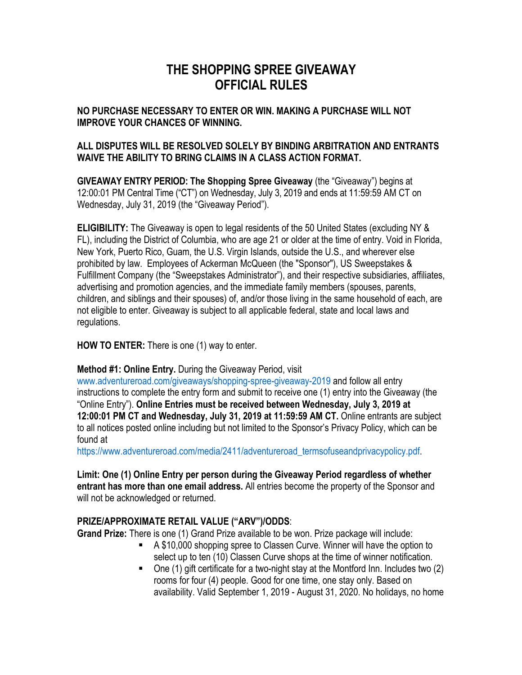# **THE SHOPPING SPREE GIVEAWAY OFFICIAL RULES**

### **NO PURCHASE NECESSARY TO ENTER OR WIN. MAKING A PURCHASE WILL NOT IMPROVE YOUR CHANCES OF WINNING.**

### **ALL DISPUTES WILL BE RESOLVED SOLELY BY BINDING ARBITRATION AND ENTRANTS WAIVE THE ABILITY TO BRING CLAIMS IN A CLASS ACTION FORMAT.**

**GIVEAWAY ENTRY PERIOD: The Shopping Spree Giveaway** (the "Giveaway") begins at 12:00:01 PM Central Time ("CT") on Wednesday, July 3, 2019 and ends at 11:59:59 AM CT on Wednesday, July 31, 2019 (the "Giveaway Period").

**ELIGIBILITY:** The Giveaway is open to legal residents of the 50 United States (excluding NY & FL), including the District of Columbia, who are age 21 or older at the time of entry. Void in Florida, New York, Puerto Rico, Guam, the U.S. Virgin Islands, outside the U.S., and wherever else prohibited by law. Employees of Ackerman McQueen (the "Sponsor"), US Sweepstakes & Fulfillment Company (the "Sweepstakes Administrator"), and their respective subsidiaries, affiliates, advertising and promotion agencies, and the immediate family members (spouses, parents, children, and siblings and their spouses) of, and/or those living in the same household of each, are not eligible to enter. Giveaway is subject to all applicable federal, state and local laws and regulations.

**HOW TO ENTER:** There is one (1) way to enter.

### **Method #1: Online Entry.** During the Giveaway Period, visit

www.adventureroad.com/giveaways/shopping-spree-giveaway-2019 and follow all entry instructions to complete the entry form and submit to receive one (1) entry into the Giveaway (the "Online Entry"). **Online Entries must be received between Wednesday, July 3, 2019 at 12:00:01 PM CT and Wednesday, July 31, 2019 at 11:59:59 AM CT.** Online entrants are subject to all notices posted online including but not limited to the Sponsor's Privacy Policy, which can be found at

https://www.adventureroad.com/media/2411/adventureroad\_termsofuseandprivacypolicy.pdf.

**Limit: One (1) Online Entry per person during the Giveaway Period regardless of whether entrant has more than one email address.** All entries become the property of the Sponsor and will not be acknowledged or returned.

## **PRIZE/APPROXIMATE RETAIL VALUE ("ARV")/ODDS**:

**Grand Prize:** There is one (1) Grand Prize available to be won. Prize package will include:

- A \$10,000 shopping spree to Classen Curve. Winner will have the option to select up to ten (10) Classen Curve shops at the time of winner notification.
- $\blacksquare$  One (1) gift certificate for a two-night stay at the Montford Inn. Includes two (2) rooms for four (4) people. Good for one time, one stay only. Based on availability. Valid September 1, 2019 - August 31, 2020. No holidays, no home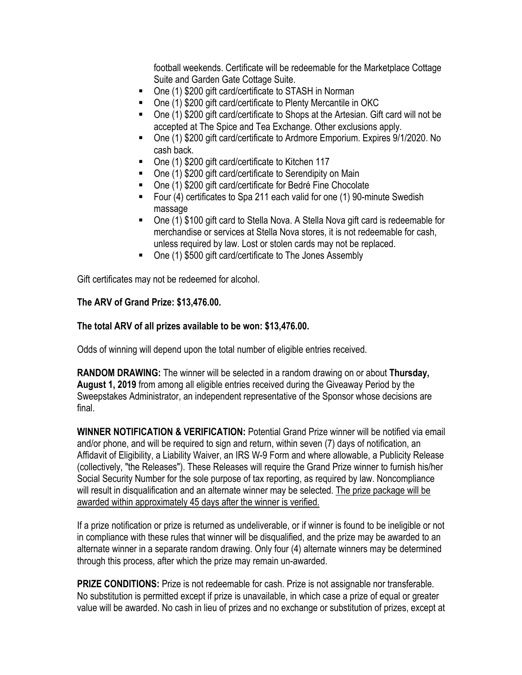football weekends. Certificate will be redeemable for the Marketplace Cottage Suite and Garden Gate Cottage Suite.

- One (1) \$200 gift card/certificate to STASH in Norman
- § One (1) \$200 gift card/certificate to Plenty Mercantile in OKC
- One (1) \$200 gift card/certificate to Shops at the Artesian. Gift card will not be accepted at The Spice and Tea Exchange. Other exclusions apply.
- One (1) \$200 gift card/certificate to Ardmore Emporium. Expires 9/1/2020. No cash back.
- One (1) \$200 gift card/certificate to Kitchen 117
- § One (1) \$200 gift card/certificate to Serendipity on Main
- One (1) \$200 gift card/certificate for Bedré Fine Chocolate
- Four (4) certificates to Spa 211 each valid for one (1) 90-minute Swedish massage
- One (1) \$100 gift card to Stella Nova. A Stella Nova gift card is redeemable for merchandise or services at Stella Nova stores, it is not redeemable for cash, unless required by law. Lost or stolen cards may not be replaced.
- One (1) \$500 gift card/certificate to The Jones Assembly

Gift certificates may not be redeemed for alcohol.

### **The ARV of Grand Prize: \$13,476.00.**

### **The total ARV of all prizes available to be won: \$13,476.00.**

Odds of winning will depend upon the total number of eligible entries received.

**RANDOM DRAWING:** The winner will be selected in a random drawing on or about **Thursday, August 1, 2019** from among all eligible entries received during the Giveaway Period by the Sweepstakes Administrator, an independent representative of the Sponsor whose decisions are final.

**WINNER NOTIFICATION & VERIFICATION:** Potential Grand Prize winner will be notified via email and/or phone, and will be required to sign and return, within seven (7) days of notification, an Affidavit of Eligibility, a Liability Waiver, an IRS W-9 Form and where allowable, a Publicity Release (collectively, "the Releases"). These Releases will require the Grand Prize winner to furnish his/her Social Security Number for the sole purpose of tax reporting, as required by law. Noncompliance will result in disqualification and an alternate winner may be selected. The prize package will be awarded within approximately 45 days after the winner is verified.

If a prize notification or prize is returned as undeliverable, or if winner is found to be ineligible or not in compliance with these rules that winner will be disqualified, and the prize may be awarded to an alternate winner in a separate random drawing. Only four (4) alternate winners may be determined through this process, after which the prize may remain un-awarded.

**PRIZE CONDITIONS:** Prize is not redeemable for cash. Prize is not assignable nor transferable. No substitution is permitted except if prize is unavailable, in which case a prize of equal or greater value will be awarded. No cash in lieu of prizes and no exchange or substitution of prizes, except at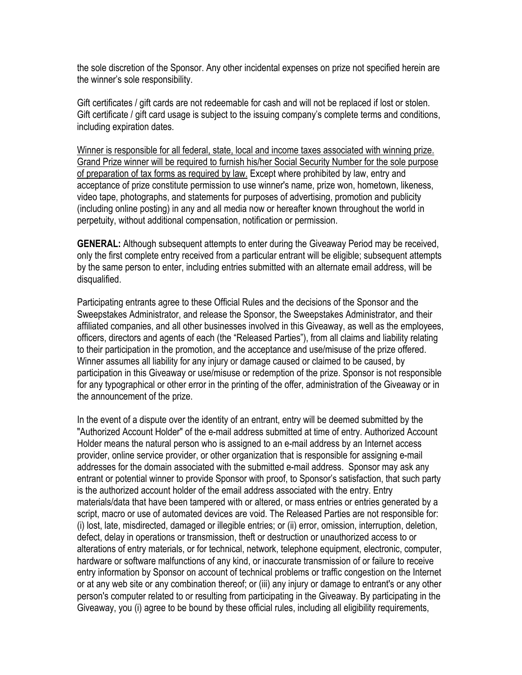the sole discretion of the Sponsor. Any other incidental expenses on prize not specified herein are the winner's sole responsibility.

Gift certificates / gift cards are not redeemable for cash and will not be replaced if lost or stolen. Gift certificate / gift card usage is subject to the issuing company's complete terms and conditions, including expiration dates.

Winner is responsible for all federal, state, local and income taxes associated with winning prize. Grand Prize winner will be required to furnish his/her Social Security Number for the sole purpose of preparation of tax forms as required by law. Except where prohibited by law, entry and acceptance of prize constitute permission to use winner's name, prize won, hometown, likeness, video tape, photographs, and statements for purposes of advertising, promotion and publicity (including online posting) in any and all media now or hereafter known throughout the world in perpetuity, without additional compensation, notification or permission.

**GENERAL:** Although subsequent attempts to enter during the Giveaway Period may be received, only the first complete entry received from a particular entrant will be eligible; subsequent attempts by the same person to enter, including entries submitted with an alternate email address, will be disqualified.

Participating entrants agree to these Official Rules and the decisions of the Sponsor and the Sweepstakes Administrator, and release the Sponsor, the Sweepstakes Administrator, and their affiliated companies, and all other businesses involved in this Giveaway, as well as the employees, officers, directors and agents of each (the "Released Parties"), from all claims and liability relating to their participation in the promotion, and the acceptance and use/misuse of the prize offered. Winner assumes all liability for any injury or damage caused or claimed to be caused, by participation in this Giveaway or use/misuse or redemption of the prize. Sponsor is not responsible for any typographical or other error in the printing of the offer, administration of the Giveaway or in the announcement of the prize.

In the event of a dispute over the identity of an entrant, entry will be deemed submitted by the "Authorized Account Holder" of the e-mail address submitted at time of entry. Authorized Account Holder means the natural person who is assigned to an e-mail address by an Internet access provider, online service provider, or other organization that is responsible for assigning e-mail addresses for the domain associated with the submitted e-mail address. Sponsor may ask any entrant or potential winner to provide Sponsor with proof, to Sponsor's satisfaction, that such party is the authorized account holder of the email address associated with the entry. Entry materials/data that have been tampered with or altered, or mass entries or entries generated by a script, macro or use of automated devices are void. The Released Parties are not responsible for: (i) lost, late, misdirected, damaged or illegible entries; or (ii) error, omission, interruption, deletion, defect, delay in operations or transmission, theft or destruction or unauthorized access to or alterations of entry materials, or for technical, network, telephone equipment, electronic, computer, hardware or software malfunctions of any kind, or inaccurate transmission of or failure to receive entry information by Sponsor on account of technical problems or traffic congestion on the Internet or at any web site or any combination thereof; or (iii) any injury or damage to entrant's or any other person's computer related to or resulting from participating in the Giveaway. By participating in the Giveaway, you (i) agree to be bound by these official rules, including all eligibility requirements,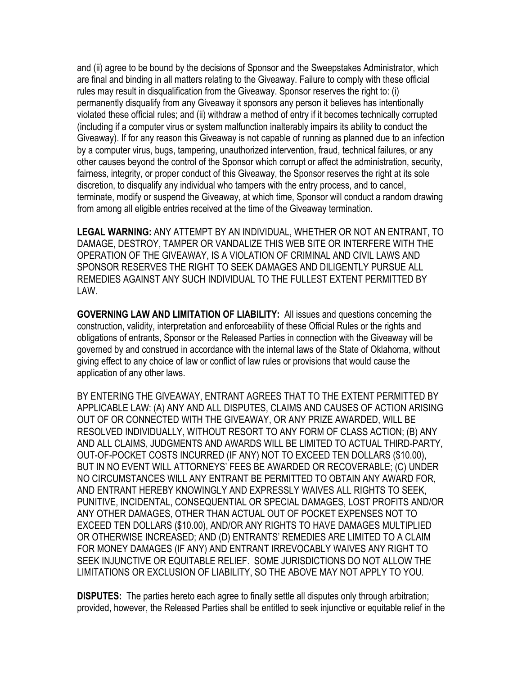and (ii) agree to be bound by the decisions of Sponsor and the Sweepstakes Administrator, which are final and binding in all matters relating to the Giveaway. Failure to comply with these official rules may result in disqualification from the Giveaway. Sponsor reserves the right to: (i) permanently disqualify from any Giveaway it sponsors any person it believes has intentionally violated these official rules; and (ii) withdraw a method of entry if it becomes technically corrupted (including if a computer virus or system malfunction inalterably impairs its ability to conduct the Giveaway). If for any reason this Giveaway is not capable of running as planned due to an infection by a computer virus, bugs, tampering, unauthorized intervention, fraud, technical failures, or any other causes beyond the control of the Sponsor which corrupt or affect the administration, security, fairness, integrity, or proper conduct of this Giveaway, the Sponsor reserves the right at its sole discretion, to disqualify any individual who tampers with the entry process, and to cancel, terminate, modify or suspend the Giveaway, at which time, Sponsor will conduct a random drawing from among all eligible entries received at the time of the Giveaway termination.

**LEGAL WARNING:** ANY ATTEMPT BY AN INDIVIDUAL, WHETHER OR NOT AN ENTRANT, TO DAMAGE, DESTROY, TAMPER OR VANDALIZE THIS WEB SITE OR INTERFERE WITH THE OPERATION OF THE GIVEAWAY, IS A VIOLATION OF CRIMINAL AND CIVIL LAWS AND SPONSOR RESERVES THE RIGHT TO SEEK DAMAGES AND DILIGENTLY PURSUE ALL REMEDIES AGAINST ANY SUCH INDIVIDUAL TO THE FULLEST EXTENT PERMITTED BY LAW.

**GOVERNING LAW AND LIMITATION OF LIABILITY:** All issues and questions concerning the construction, validity, interpretation and enforceability of these Official Rules or the rights and obligations of entrants, Sponsor or the Released Parties in connection with the Giveaway will be governed by and construed in accordance with the internal laws of the State of Oklahoma, without giving effect to any choice of law or conflict of law rules or provisions that would cause the application of any other laws.

BY ENTERING THE GIVEAWAY, ENTRANT AGREES THAT TO THE EXTENT PERMITTED BY APPLICABLE LAW: (A) ANY AND ALL DISPUTES, CLAIMS AND CAUSES OF ACTION ARISING OUT OF OR CONNECTED WITH THE GIVEAWAY, OR ANY PRIZE AWARDED, WILL BE RESOLVED INDIVIDUALLY, WITHOUT RESORT TO ANY FORM OF CLASS ACTION; (B) ANY AND ALL CLAIMS, JUDGMENTS AND AWARDS WILL BE LIMITED TO ACTUAL THIRD-PARTY, OUT-OF-POCKET COSTS INCURRED (IF ANY) NOT TO EXCEED TEN DOLLARS (\$10.00), BUT IN NO EVENT WILL ATTORNEYS' FEES BE AWARDED OR RECOVERABLE; (C) UNDER NO CIRCUMSTANCES WILL ANY ENTRANT BE PERMITTED TO OBTAIN ANY AWARD FOR, AND ENTRANT HEREBY KNOWINGLY AND EXPRESSLY WAIVES ALL RIGHTS TO SEEK, PUNITIVE, INCIDENTAL, CONSEQUENTIAL OR SPECIAL DAMAGES, LOST PROFITS AND/OR ANY OTHER DAMAGES, OTHER THAN ACTUAL OUT OF POCKET EXPENSES NOT TO EXCEED TEN DOLLARS (\$10.00), AND/OR ANY RIGHTS TO HAVE DAMAGES MULTIPLIED OR OTHERWISE INCREASED; AND (D) ENTRANTS' REMEDIES ARE LIMITED TO A CLAIM FOR MONEY DAMAGES (IF ANY) AND ENTRANT IRREVOCABLY WAIVES ANY RIGHT TO SEEK INJUNCTIVE OR EQUITABLE RELIEF. SOME JURISDICTIONS DO NOT ALLOW THE LIMITATIONS OR EXCLUSION OF LIABILITY, SO THE ABOVE MAY NOT APPLY TO YOU.

**DISPUTES:** The parties hereto each agree to finally settle all disputes only through arbitration; provided, however, the Released Parties shall be entitled to seek injunctive or equitable relief in the